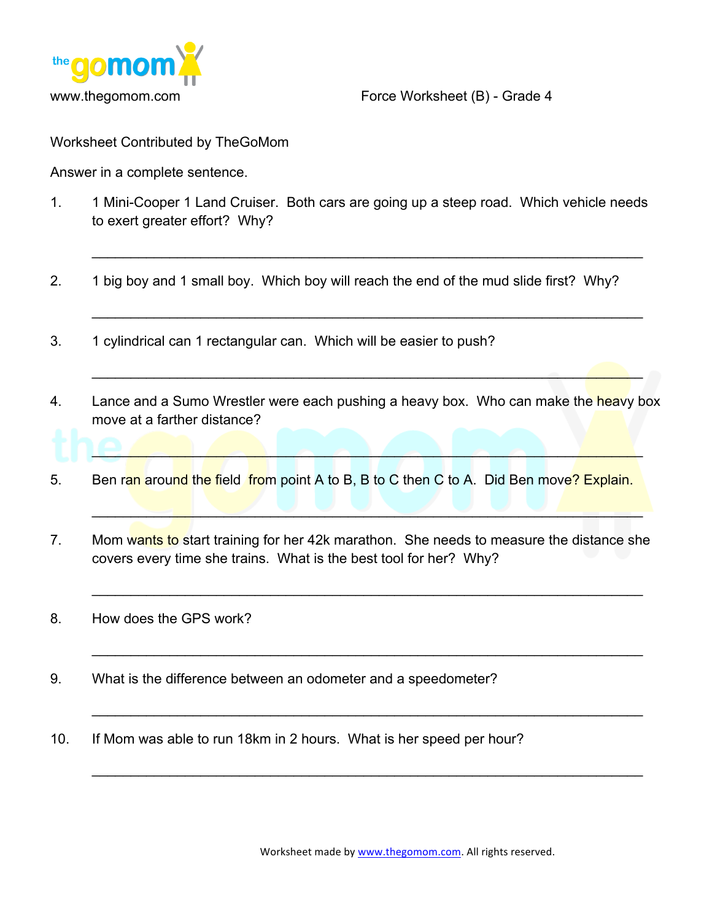

www.thegomom.com Force Worksheet (B) - Grade 4

Worksheet Contributed by TheGoMom

Answer in a complete sentence.

1. 1 Mini-Cooper 1 Land Cruiser. Both cars are going up a steep road. Which vehicle needs to exert greater effort? Why?

 $\mathcal{L}_\text{max}$  and  $\mathcal{L}_\text{max}$  and  $\mathcal{L}_\text{max}$  and  $\mathcal{L}_\text{max}$  and  $\mathcal{L}_\text{max}$  and  $\mathcal{L}_\text{max}$ 

 $\mathcal{L}_\text{max} = \mathcal{L}_\text{max} = \mathcal{L}_\text{max} = \mathcal{L}_\text{max} = \mathcal{L}_\text{max} = \mathcal{L}_\text{max} = \mathcal{L}_\text{max} = \mathcal{L}_\text{max} = \mathcal{L}_\text{max} = \mathcal{L}_\text{max} = \mathcal{L}_\text{max} = \mathcal{L}_\text{max} = \mathcal{L}_\text{max} = \mathcal{L}_\text{max} = \mathcal{L}_\text{max} = \mathcal{L}_\text{max} = \mathcal{L}_\text{max} = \mathcal{L}_\text{max} = \mathcal{$ 

 $\mathcal{L}=\mathcal{L}=\mathcal{L}=\mathcal{L}=\mathcal{L}=\mathcal{L}=\mathcal{L}=\mathcal{L}=\mathcal{L}=\mathcal{L}=\mathcal{L}=\mathcal{L}=\mathcal{L}=\mathcal{L}=\mathcal{L}=\mathcal{L}=\mathcal{L}=\mathcal{L}=\mathcal{L}=\mathcal{L}=\mathcal{L}=\mathcal{L}=\mathcal{L}=\mathcal{L}=\mathcal{L}=\mathcal{L}=\mathcal{L}=\mathcal{L}=\mathcal{L}=\mathcal{L}=\mathcal{L}=\mathcal{L}=\mathcal{L}=\mathcal{L}=\mathcal{L}=\mathcal{L}=\mathcal{$ 

 $\mathbf{1} \Theta_{\ell}$  ,  $\mathbf{1} \bullet \mathbf{1} \bullet \mathbf{1} \bullet \mathbf{1} \bullet \mathbf{1} \bullet \mathbf{1} \bullet \mathbf{1} \bullet \mathbf{1} \bullet \mathbf{1} \bullet \mathbf{1} \bullet \mathbf{1} \bullet \mathbf{1} \bullet \mathbf{1} \bullet \mathbf{1} \bullet \mathbf{1} \bullet \mathbf{1} \bullet \mathbf{1} \bullet \mathbf{1} \bullet \mathbf{1} \bullet \mathbf{1} \bullet \mathbf{1} \bullet \mathbf{1} \bullet \mathbf{1} \bullet \mathbf{1} \bullet \mathbf{1} \bullet \mathbf$ 

 $\Box$ 

 $\mathcal{L}_\text{max} = \mathcal{L}_\text{max} = \mathcal{L}_\text{max} = \mathcal{L}_\text{max} = \mathcal{L}_\text{max} = \mathcal{L}_\text{max} = \mathcal{L}_\text{max} = \mathcal{L}_\text{max} = \mathcal{L}_\text{max} = \mathcal{L}_\text{max} = \mathcal{L}_\text{max} = \mathcal{L}_\text{max} = \mathcal{L}_\text{max} = \mathcal{L}_\text{max} = \mathcal{L}_\text{max} = \mathcal{L}_\text{max} = \mathcal{L}_\text{max} = \mathcal{L}_\text{max} = \mathcal{$ 

 $\mathcal{L}_\text{max} = \mathcal{L}_\text{max} = \mathcal{L}_\text{max} = \mathcal{L}_\text{max} = \mathcal{L}_\text{max} = \mathcal{L}_\text{max} = \mathcal{L}_\text{max} = \mathcal{L}_\text{max} = \mathcal{L}_\text{max} = \mathcal{L}_\text{max} = \mathcal{L}_\text{max} = \mathcal{L}_\text{max} = \mathcal{L}_\text{max} = \mathcal{L}_\text{max} = \mathcal{L}_\text{max} = \mathcal{L}_\text{max} = \mathcal{L}_\text{max} = \mathcal{L}_\text{max} = \mathcal{$ 

 $\mathcal{L}_\text{max}$  and  $\mathcal{L}_\text{max}$  and  $\mathcal{L}_\text{max}$  and  $\mathcal{L}_\text{max}$  and  $\mathcal{L}_\text{max}$  and  $\mathcal{L}_\text{max}$ 

 $\mathcal{L}_\text{max} = \mathcal{L}_\text{max} = \mathcal{L}_\text{max} = \mathcal{L}_\text{max} = \mathcal{L}_\text{max} = \mathcal{L}_\text{max} = \mathcal{L}_\text{max} = \mathcal{L}_\text{max} = \mathcal{L}_\text{max} = \mathcal{L}_\text{max} = \mathcal{L}_\text{max} = \mathcal{L}_\text{max} = \mathcal{L}_\text{max} = \mathcal{L}_\text{max} = \mathcal{L}_\text{max} = \mathcal{L}_\text{max} = \mathcal{L}_\text{max} = \mathcal{L}_\text{max} = \mathcal{$ 

- 2. 1 big boy and 1 small boy. Which boy will reach the end of the mud slide first? Why?
- 3. 1 cylindrical can 1 rectangular can. Which will be easier to push?
- 4. Lance and a Sumo Wrestler were each pushing a heavy box. Who can make the heavy box move at a farther distance?
- 5. Ben ran around the field from point A to B, B to C then C to A. Did Ben move? Explain.
- 7. Mom wants to start training for her 42k marathon. She needs to measure the distance she covers every time she trains. What is the best tool for her? Why?
- 8. How does the GPS work?
- 9. What is the difference between an odometer and a speedometer?
- 10. If Mom was able to run 18km in 2 hours. What is her speed per hour?